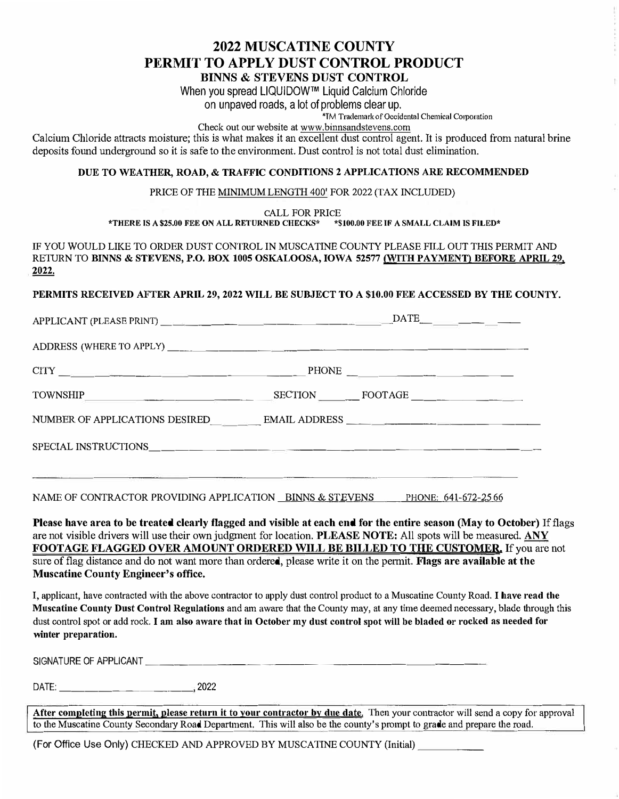## **2022 MUSCATINE COUNTY PERMIT TO APPLY DUST CONTROL PRODUCT**

**BINNS & STEVENS DUST CONTROL** 

When you spread LIQUIDOW™ Liquid Calcium Chloride

on unpaved roads, a lot of problems clear up.

\*TM TrademarkofOccidental Chemical C01poration

Check out our website at www.binnsandstevens.com

Calcium Chloride attracts moisture; this is what makes it an excellent dust control agent. It is produced from natural brine deposits found underground so it is safe to the environment. Dust control is not total dust elimination.

#### **DUE TO WEATHER, ROAD,** & **TRAFFIC CONDITIONS 2 APPLICATIONS ARE RECOMMENDED**

PRICE OF THE MINIMUM LENGTH 400' FOR 2022 (TAX INCLUDED)

CALL FOR PRICE

**\*THERE IS A \$25.00 FEE ON ALL RETURNED CHECKS\* \*\$100,00 FEE IF A SMALL CLAIM IS FILED\*** 

**IF** YOU WOULD LIKE TO ORDER DUST CONTROL IN MUSCATINE COUNTY PLEASE FILL OUT THIS PERMIT AND RETURN TO **BINNS** & **STEVENS, P.O. BOX 1005 OSKALOOSA, IOWA 52577 (WITH PAYMENT) BEFORE APRIL 29. 2022.** 

**PERMITS RECEIVED AFTER APRIL 29, 2022 WILL BE SUBJECT TO A \$10.00 FEE ACCESSED BY THE COUNTY.** 

|                                                                                                                       |         | $\overline{\text{DATE}}$ ____________ |  |
|-----------------------------------------------------------------------------------------------------------------------|---------|---------------------------------------|--|
|                                                                                                                       |         |                                       |  |
| $\text{CTIY}$                                                                                                         |         |                                       |  |
|                                                                                                                       | SECTION | FOOTAGE                               |  |
|                                                                                                                       |         |                                       |  |
|                                                                                                                       |         |                                       |  |
| <u> 1989 - John Stone, mars and de la provincia de la provincia de la provincia de la provincia de la provincia d</u> |         |                                       |  |
|                                                                                                                       |         |                                       |  |

NAME OF CONTRACTOR PROVIDING APPLICATION BINNS & STEVENS PHONE: 641-672-25.66

**Please have area to be treated clearly flagged and visible at each end for the entire season (May to October)** If flags are not visible drivers will use their own judgment for location, **PLEASE NOTE:** All spots will be measured. **ANY FOOTAGE FLAGGED OVER AMOUNT ORDERED WILL BE BILLED** *TO* **THE CUSTOMER.** If you are not sure of flag distance and do not want more than ordered, please write it on the permit. **Flags are available at the Muscatine County Engineer's office.** 

I, applicant, have contracted with the above contractor to apply dust control product to a Muscatine County Road. **I have read the Muscatine County Dust Control Regulations** and am aware that the County may, at any time deemed necessary, blade through this dust control spot or add rock. **I am also aware that in October my dust control spot will be bladed or rocked as needed for winter preparation.** 

SIGNATURE OF APPLICANT

DATE: \_\_\_\_\_\_\_\_\_\_ 2022

**After completing this permit, please return it to your contractor** by **due date. Then your contractor** will **send a copy for approval** to the Muscatine County Secondary Road Department. This will also be the county's prompt to grade and prepare the road.

(For Office Use Only) CHECKED AND APPROVED BY MUSCATINE COUNTY  $\mbox{(Initial)}$